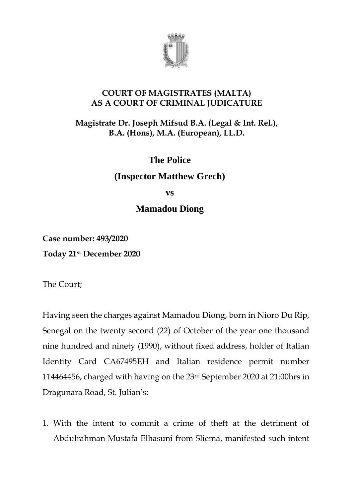

#### **COURT OF MAGISTRATES (MALTA) AS A COURT OF CRIMINAL JUDICATURE**

### **Magistrate Dr. Joseph Mifsud B.A. (Legal & Int. Rel.), B.A. (Hons), M.A. (European), LL.D.**

# **The Police**

## **(Inspector Matthew Grech)**

**vs**

## **Mamadou Diong**

**Case number: 493/2020 Today 21st December 2020**

The Court;

Having seen the charges against Mamadou Diong, born in Nioro Du Rip, Senegal on the twenty second (22) of October of the year one thousand nine hundred and ninety (1990), without fixed address, holder of Italian Identity Card CA67495EH and Italian residence permit number 114464456, charged with having on the 23rd September 2020 at 21:00hrs in Dragunara Road, St. Julian's:

1. With the intent to commit a crime of theft at the detriment of Abdulrahman Mustafa Elhasuni from Sliema, manifested such intent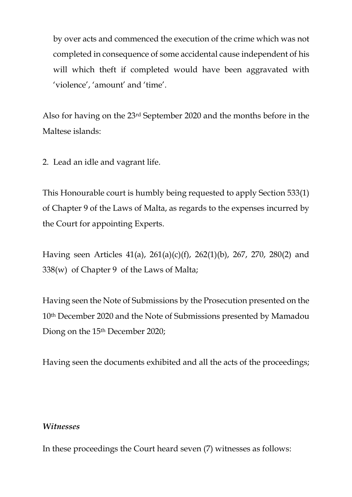by over acts and commenced the execution of the crime which was not completed in consequence of some accidental cause independent of his will which theft if completed would have been aggravated with 'violence', 'amount' and 'time'.

Also for having on the 23rd September 2020 and the months before in the Maltese islands:

2. Lead an idle and vagrant life.

This Honourable court is humbly being requested to apply Section 533(1) of Chapter 9 of the Laws of Malta, as regards to the expenses incurred by the Court for appointing Experts.

Having seen Articles 41(a), 261(a)(c)(f), 262(1)(b), 267, 270, 280(2) and 338(w) of Chapter 9 of the Laws of Malta;

Having seen the Note of Submissions by the Prosecution presented on the 10th December 2020 and the Note of Submissions presented by Mamadou Diong on the 15th December 2020;

Having seen the documents exhibited and all the acts of the proceedings;

#### *Witnesses*

In these proceedings the Court heard seven (7) witnesses as follows: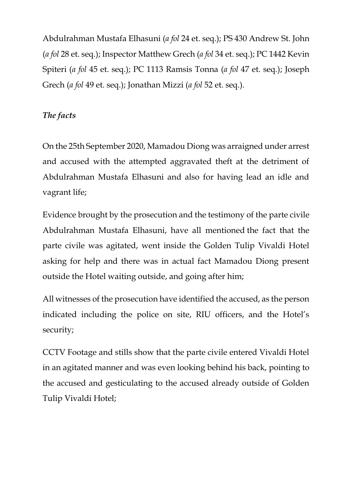Abdulrahman Mustafa Elhasuni (*a fol* 24 et. seq.); PS 430 Andrew St. John (*a fol* 28 et. seq.); Inspector Matthew Grech (*a fol* 34 et. seq.); PC 1442 Kevin Spiteri (*a fol* 45 et. seq.); PC 1113 Ramsis Tonna (*a fol* 47 et. seq.); Joseph Grech (*a fol* 49 et. seq.); Jonathan Mizzi (*a fol* 52 et. seq.).

### *The facts*

On the 25th September 2020, Mamadou Diong was arraigned under arrest and accused with the attempted aggravated theft at the detriment of Abdulrahman Mustafa Elhasuni and also for having lead an idle and vagrant life;

Evidence brought by the prosecution and the testimony of the parte civile Abdulrahman Mustafa Elhasuni, have all mentioned the fact that the parte civile was agitated, went inside the Golden Tulip Vivaldi Hotel asking for help and there was in actual fact Mamadou Diong present outside the Hotel waiting outside, and going after him;

All witnesses of the prosecution have identified the accused, as the person indicated including the police on site, RIU officers, and the Hotel's security;

CCTV Footage and stills show that the parte civile entered Vivaldi Hotel in an agitated manner and was even looking behind his back, pointing to the accused and gesticulating to the accused already outside of Golden Tulip Vivaldi Hotel;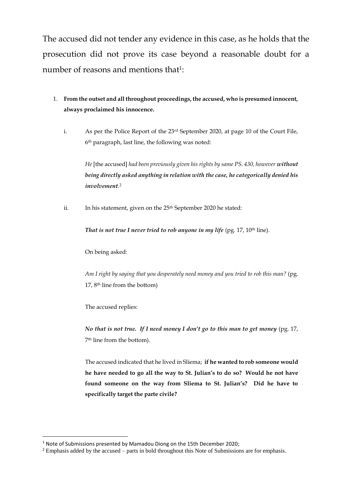The accused did not tender any evidence in this case, as he holds that the prosecution did not prove its case beyond a reasonable doubt for a number of reasons and mentions that<sup>1</sup>:

- 1. **From the outset and all throughout proceedings, the accused, who is presumed innocent, always proclaimed his innocence.**
	- i. As per the Police Report of the 23<sup>rd</sup> September 2020, at page 10 of the Court File, 6 th paragraph, last line, the following was noted:

*He* [the accused] *had been previously given his rights by same PS. 430, however without being directly asked anything in relation with the case, he categorically denied his involvement*. 2

ii. In his statement, given on the 25<sup>th</sup> September 2020 he stated:

*That is not true I never tried to rob anyone in my life* (pg. 17, 10<sup>th</sup> line).

On being asked:

*Am I right by saying that you desperately need money and you tried to rob this man?* (pg. 17, 8th line from the bottom)

The accused replies:

<u>.</u>

*No that is not true. If I need money I don't go to this man to get money* (pg. 17, 7 th line from the bottom).

The accused indicated that he lived in Sliema; **if he wanted to rob someone would he have needed to go all the way to St. Julian's to do so? Would he not have found someone on the way from Sliema to St. Julian's? Did he have to specifically target the parte civile?**

<sup>1</sup> Note of Submissions presented by Mamadou Diong on the 15th December 2020;

<sup>&</sup>lt;sup>2</sup> Emphasis added by the accused – parts in bold throughout this Note of Submissions are for emphasis.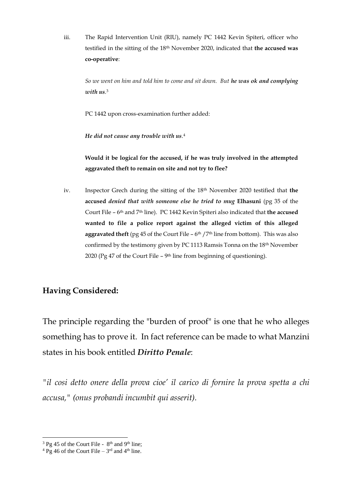iii. The Rapid Intervention Unit (RIU), namely PC 1442 Kevin Spiteri, officer who testified in the sitting of the 18th November 2020, indicated that **the accused was co-operative**:

*So we went on him and told him to come and sit down. But he was ok and complying with us*. 3

PC 1442 upon cross-examination further added:

*He did not cause any trouble with us*. 4

**Would it be logical for the accused, if he was truly involved in the attempted aggravated theft to remain on site and not try to flee?** 

iv. Inspector Grech during the sitting of the 18<sup>th</sup> November 2020 testified that **the accused** *denied that with someone else he tried to mug* **Elhasuni** (pg 35 of the Court File – 6<sup>th</sup> and 7<sup>th</sup> line). PC 1442 Kevin Spiteri also indicated that **the accused wanted to file a police report against the alleged victim of this alleged aggravated theft** (pg 45 of the Court File  $-$  6<sup>th</sup> /7<sup>th</sup> line from bottom). This was also confirmed by the testimony given by PC 1113 Ramsis Tonna on the 18<sup>th</sup> November 2020 (Pg 47 of the Court File  $-$  9<sup>th</sup> line from beginning of questioning).

#### **Having Considered:**

The principle regarding the "burden of proof" is one that he who alleges something has to prove it. In fact reference can be made to what Manzini states in his book entitled *Diritto Penale*:

*"il cosi detto onere della prova cioe' il carico di fornire la prova spetta a chi accusa," (onus probandi incumbit qui asserit).*

<sup>1</sup>  $3$  Pg 45 of the Court File -  $8<sup>th</sup>$  and 9<sup>th</sup> line;

 $4$  Pg 46 of the Court File –  $3<sup>rd</sup>$  and  $4<sup>th</sup>$  line.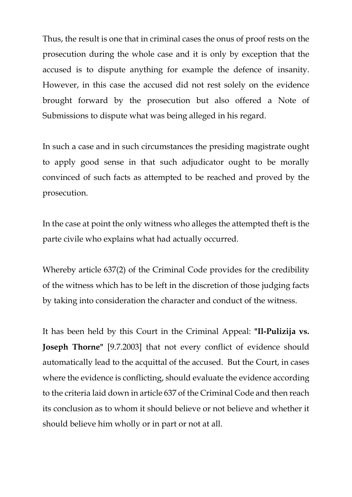Thus, the result is one that in criminal cases the onus of proof rests on the prosecution during the whole case and it is only by exception that the accused is to dispute anything for example the defence of insanity. However, in this case the accused did not rest solely on the evidence brought forward by the prosecution but also offered a Note of Submissions to dispute what was being alleged in his regard.

In such a case and in such circumstances the presiding magistrate ought to apply good sense in that such adjudicator ought to be morally convinced of such facts as attempted to be reached and proved by the prosecution.

In the case at point the only witness who alleges the attempted theft is the parte civile who explains what had actually occurred.

Whereby article 637(2) of the Criminal Code provides for the credibility of the witness which has to be left in the discretion of those judging facts by taking into consideration the character and conduct of the witness.

It has been held by this Court in the Criminal Appeal: **"Il-Pulizija vs. Joseph Thorne"** [9.7.2003] that not every conflict of evidence should automatically lead to the acquittal of the accused. But the Court, in cases where the evidence is conflicting, should evaluate the evidence according to the criteria laid down in article 637 of the Criminal Code and then reach its conclusion as to whom it should believe or not believe and whether it should believe him wholly or in part or not at all.